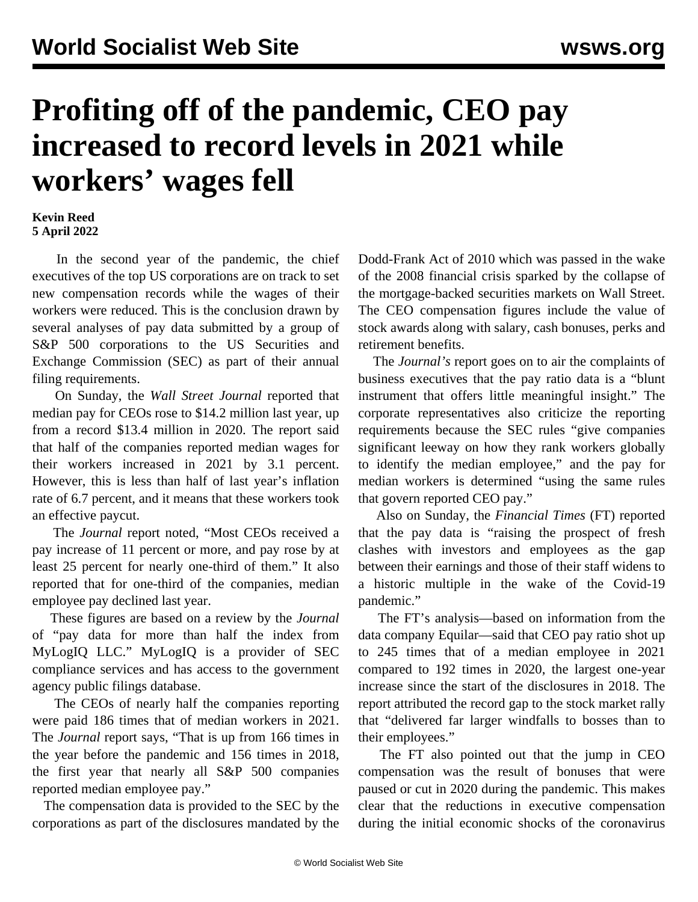## **Profiting off of the pandemic, CEO pay increased to record levels in 2021 while workers' wages fell**

**Kevin Reed 5 April 2022**

 In the second year of the pandemic, the chief executives of the top US corporations are on track to set new compensation records while the wages of their workers were reduced. This is the conclusion drawn by several analyses of pay data submitted by a group of S&P 500 corporations to the US Securities and Exchange Commission (SEC) as part of their annual filing requirements.

 On Sunday, the *Wall Street Journal* reported that median pay for CEOs rose to \$14.2 million last year, up from a record \$13.4 million in 2020. The report said that half of the companies reported median wages for their workers increased in 2021 by 3.1 percent. However, this is less than half of last year's inflation rate of 6.7 percent, and it means that these workers took an effective paycut.

 The *Journal* report noted, "Most CEOs received a pay increase of 11 percent or more, and pay rose by at least 25 percent for nearly one-third of them." It also reported that for one-third of the companies, median employee pay declined last year.

 These figures are based on a review by the *Journal* of "pay data for more than half the index from MyLogIQ LLC." MyLogIQ is a provider of SEC compliance services and has access to the government agency public filings database.

 The CEOs of nearly half the companies reporting were paid 186 times that of median workers in 2021. The *Journal* report says, "That is up from 166 times in the year before the pandemic and 156 times in 2018, the first year that nearly all S&P 500 companies reported median employee pay."

 The compensation data is provided to the SEC by the corporations as part of the disclosures mandated by the

Dodd-Frank Act of 2010 which was passed in the wake of the 2008 financial crisis sparked by the collapse of the mortgage-backed securities markets on Wall Street. The CEO compensation figures include the value of stock awards along with salary, cash bonuses, perks and retirement benefits.

 The *Journal's* report goes on to air the complaints of business executives that the pay ratio data is a "blunt instrument that offers little meaningful insight." The corporate representatives also criticize the reporting requirements because the SEC rules "give companies significant leeway on how they rank workers globally to identify the median employee," and the pay for median workers is determined "using the same rules that govern reported CEO pay."

 Also on Sunday, the *Financial Times* (FT) reported that the pay data is "raising the prospect of fresh clashes with investors and employees as the gap between their earnings and those of their staff widens to a historic multiple in the wake of the Covid-19 pandemic."

 The FT's analysis—based on information from the data company Equilar—said that CEO pay ratio shot up to 245 times that of a median employee in 2021 compared to 192 times in 2020, the largest one-year increase since the start of the disclosures in 2018. The report attributed the record gap to the stock market rally that "delivered far larger windfalls to bosses than to their employees."

 The FT also pointed out that the jump in CEO compensation was the result of bonuses that were paused or cut in 2020 during the pandemic. This makes clear that the reductions in executive compensation during the initial economic shocks of the coronavirus